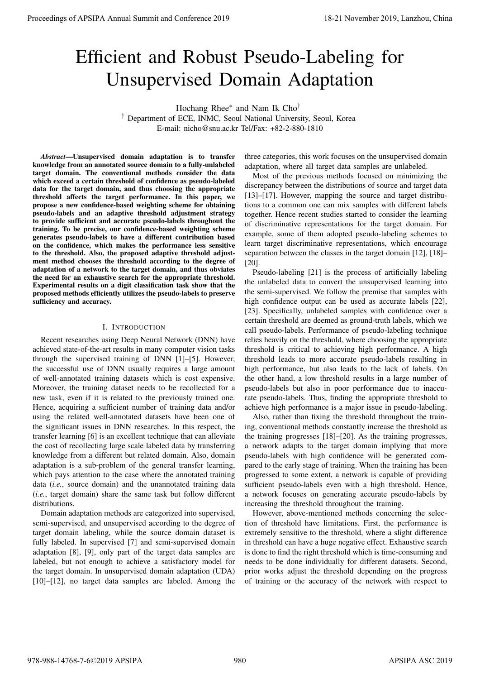# Efficient and Robust Pseudo-Labeling for Unsupervised Domain Adaptation

Hochang Rhee<sup>∗</sup> and Nam Ik Cho†

† Department of ECE, INMC, Seoul National University, Seoul, Korea E-mail: nicho@snu.ac.kr Tel/Fax: +82-2-880-1810

*Abstract*—Unsupervised domain adaptation is to transfer knowledge from an annotated source domain to a fully-unlabeled target domain. The conventional methods consider the data which exceed a certain threshold of confidence as pseudo-labeled data for the target domain, and thus choosing the appropriate threshold affects the target performance. In this paper, we propose a new confidence-based weighting scheme for obtaining pseudo-labels and an adaptive threshold adjustment strategy to provide sufficient and accurate pseudo-labels throughout the training. To be precise, our confidence-based weighting scheme generates pseudo-labels to have a different contribution based on the confidence, which makes the performance less sensitive to the threshold. Also, the proposed adaptive threshold adjustment method chooses the threshold according to the degree of adaptation of a network to the target domain, and thus obviates the need for an exhaustive search for the appropriate threshold. Experimental results on a digit classification task show that the proposed methods efficiently utilizes the pseudo-labels to preserve sufficiency and accuracy.

## I. INTRODUCTION

Recent researches using Deep Neural Network (DNN) have achieved state-of-the-art results in many computer vision tasks through the supervised training of DNN [1]–[5]. However, the successful use of DNN usually requires a large amount of well-annotated training datasets which is cost expensive. Moreover, the training dataset needs to be recollected for a new task, even if it is related to the previously trained one. Hence, acquiring a sufficient number of training data and/or using the related well-annotated datasets have been one of the significant issues in DNN researches. In this respect, the transfer learning [6] is an excellent technique that can alleviate the cost of recollecting large scale labeled data by transferring knowledge from a different but related domain. Also, domain adaptation is a sub-problem of the general transfer learning, which pays attention to the case where the annotated training data (*i.e.*, source domain) and the unannotated training data (*i.e.*, target domain) share the same task but follow different distributions. **Proceedings of APSIPA Annual Summit and Conference 2019**<br> **Efficient and ROODUST PSeudo-Labeling for <br>
Efficient and ROODUST PSeudo-Labeling for <br>
Properties of APS and Van Mannet and Conference 2019<br>
Proceedings of APS** 

Domain adaptation methods are categorized into supervised, semi-supervised, and unsupervised according to the degree of target domain labeling, while the source domain dataset is fully labeled. In supervised [7] and semi-supervised domain adaptation [8], [9], only part of the target data samples are labeled, but not enough to achieve a satisfactory model for the target domain. In unsupervised domain adaptation (UDA) [10]–[12], no target data samples are labeled. Among the

three categories, this work focuses on the unsupervised domain adaptation, where all target data samples are unlabeled.

Most of the previous methods focused on minimizing the discrepancy between the distributions of source and target data [13]–[17]. However, mapping the source and target distributions to a common one can mix samples with different labels together. Hence recent studies started to consider the learning of discriminative representations for the target domain. For example, some of them adopted pseudo-labeling schemes to learn target discriminative representations, which encourage separation between the classes in the target domain [12], [18]– [20].

Pseudo-labeling [21] is the process of artificially labeling the unlabeled data to convert the unsupervised learning into the semi-supervised. We follow the premise that samples with high confidence output can be used as accurate labels [22], [23]. Specifically, unlabeled samples with confidence over a certain threshold are deemed as ground-truth labels, which we call pseudo-labels. Performance of pseudo-labeling technique relies heavily on the threshold, where choosing the appropriate threshold is critical to achieving high performance. A high threshold leads to more accurate pseudo-labels resulting in high performance, but also leads to the lack of labels. On the other hand, a low threshold results in a large number of pseudo-labels but also in poor performance due to inaccurate pseudo-labels. Thus, finding the appropriate threshold to achieve high performance is a major issue in pseudo-labeling.

Also, rather than fixing the threshold throughout the training, conventional methods constantly increase the threshold as the training progresses [18]–[20]. As the training progresses, a network adapts to the target domain implying that more pseudo-labels with high confidence will be generated compared to the early stage of training. When the training has been progressed to some extent, a network is capable of providing sufficient pseudo-labels even with a high threshold. Hence, a network focuses on generating accurate pseudo-labels by increasing the threshold throughout the training.

However, above-mentioned methods concerning the selection of threshold have limitations. First, the performance is extremely sensitive to the threshold, where a slight difference in threshold can have a huge negative effect. Exhaustive search is done to find the right threshold which is time-consuming and needs to be done individually for different datasets. Second, prior works adjust the threshold depending on the progress of training or the accuracy of the network with respect to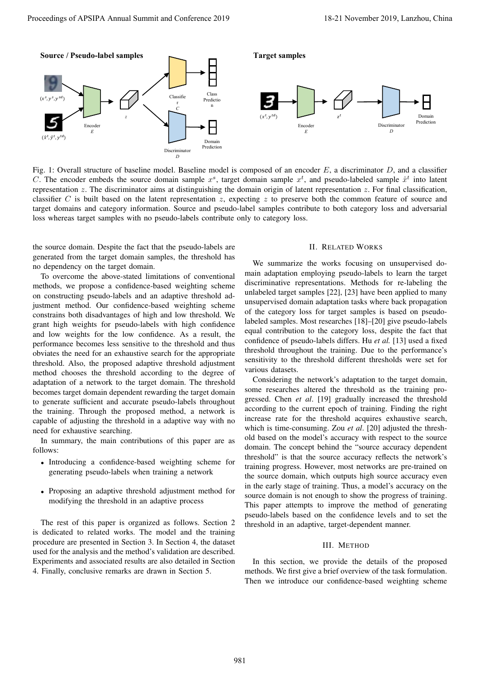

Fig. 1: Overall structure of baseline model. Baseline model is composed of an encoder  $E$ , a discriminator  $D$ , and a classifier C. The encoder embeds the source domain sample  $x^s$ , target domain sample  $x^t$ , and pseudo-labeled sample  $\hat{x}^t$  into latent representation  $z$ . The discriminator aims at distinguishing the domain origin of latent representation  $z$ . For final classification, classifier C is built based on the latent representation z, expecting z to preserve both the common feature of source and target domains and category information. Source and pseudo-label samples contribute to both category loss and adversarial loss whereas target samples with no pseudo-labels contribute only to category loss.

the source domain. Despite the fact that the pseudo-labels are generated from the target domain samples, the threshold has no dependency on the target domain.

To overcome the above-stated limitations of conventional methods, we propose a confidence-based weighting scheme on constructing pseudo-labels and an adaptive threshold adjustment method. Our confidence-based weighting scheme constrains both disadvantages of high and low threshold. We grant high weights for pseudo-labels with high confidence and low weights for the low confidence. As a result, the performance becomes less sensitive to the threshold and thus obviates the need for an exhaustive search for the appropriate threshold. Also, the proposed adaptive threshold adjustment method chooses the threshold according to the degree of adaptation of a network to the target domain. The threshold becomes target domain dependent rewarding the target domain to generate sufficient and accurate pseudo-labels throughout the training. Through the proposed method, a network is capable of adjusting the threshold in a adaptive way with no need for exhaustive searching.

In summary, the main contributions of this paper are as follows:

- Introducing a confidence-based weighting scheme for generating pseudo-labels when training a network
- Proposing an adaptive threshold adjustment method for modifying the threshold in an adaptive process

The rest of this paper is organized as follows. Section 2 is dedicated to related works. The model and the training procedure are presented in Section 3. In Section 4, the dataset used for the analysis and the method's validation are described. Experiments and associated results are also detailed in Section 4. Finally, conclusive remarks are drawn in Section 5.

## II. RELATED WORKS

We summarize the works focusing on unsupervised domain adaptation employing pseudo-labels to learn the target discriminative representations. Methods for re-labeling the unlabeled target samples [22], [23] have been applied to many unsupervised domain adaptation tasks where back propagation of the category loss for target samples is based on pseudolabeled samples. Most researches [18]–[20] give pseudo-labels equal contribution to the category loss, despite the fact that confidence of pseudo-labels differs. Hu *et al.* [13] used a fixed threshold throughout the training. Due to the performance's sensitivity to the threshold different thresholds were set for various datasets.

Considering the network's adaptation to the target domain, some researches altered the threshold as the training progressed. Chen *et al*. [19] gradually increased the threshold according to the current epoch of training. Finding the right increase rate for the threshold acquires exhaustive search, which is time-consuming. Zou *et al*. [20] adjusted the threshold based on the model's accuracy with respect to the source domain. The concept behind the "source accuracy dependent threshold" is that the source accuracy reflects the network's training progress. However, most networks are pre-trained on the source domain, which outputs high source accuracy even in the early stage of training. Thus, a model's accuracy on the source domain is not enough to show the progress of training. This paper attempts to improve the method of generating pseudo-labels based on the confidence levels and to set the threshold in an adaptive, target-dependent manner.

## III. METHOD

In this section, we provide the details of the proposed methods. We first give a brief overview of the task formulation. Then we introduce our confidence-based weighting scheme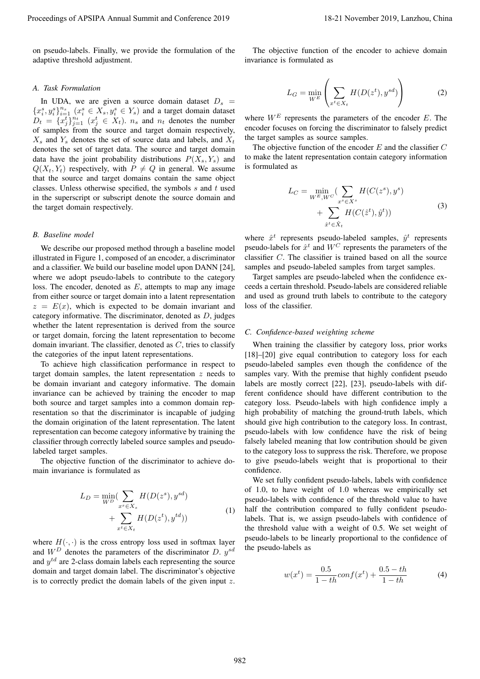on pseudo-labels. Finally, we provide the formulation of the adaptive threshold adjustment.

## *A. Task Formulation*

In UDA, we are given a source domain dataset  $D_s =$  ${x_i^s, y_i^s}_{i=1}^{n_s}$   $(x_i^s \in X_s, y_i^s \in Y_s)$  and a target domain dataset  $D_t = \{x_j^t\}_{j=1}^{n_t}$   $(x_j^t \in X_t)$ .  $n_s$  and  $n_t$  denotes the number of samples from the source and target domain respectively,  $X_s$  and  $Y_s$  denotes the set of source data and labels, and  $X_t$ denotes the set of target data. The source and target domain data have the joint probability distributions  $P(X_s, Y_s)$  and  $Q(X_t, Y_t)$  respectively, with  $P \neq Q$  in general. We assume that the source and target domains contain the same object classes. Unless otherwise specified, the symbols  $s$  and  $t$  used in the superscript or subscript denote the source domain and the target domain respectively.

## *B. Baseline model*

We describe our proposed method through a baseline model illustrated in Figure 1, composed of an encoder, a discriminator and a classifier. We build our baseline model upon DANN [24], where we adopt pseudo-labels to contribute to the category loss. The encoder, denoted as  $E$ , attempts to map any image from either source or target domain into a latent representation  $z = E(x)$ , which is expected to be domain invariant and category informative. The discriminator, denoted as D, judges whether the latent representation is derived from the source or target domain, forcing the latent representation to become domain invariant. The classifier, denoted as  $C$ , tries to classify the categories of the input latent representations.

To achieve high classification performance in respect to target domain samples, the latent representation  $z$  needs to be domain invariant and category informative. The domain invariance can be achieved by training the encoder to map both source and target samples into a common domain representation so that the discriminator is incapable of judging the domain origination of the latent representation. The latent representation can become category informative by training the classifier through correctly labeled source samples and pseudolabeled target samples.

The objective function of the discriminator to achieve domain invariance is formulated as

$$
L_D = \min_{W^D} (\sum_{x^s \in X_s} H(D(z^s), y^{sd}) + \sum_{x^t \in X_t} H(D(z^t), y^{td}))
$$
\n(1)

where  $H(\cdot, \cdot)$  is the cross entropy loss used in softmax layer and  $W^D$  denotes the parameters of the discriminator D.  $y^{sd}$ and  $y^{td}$  are 2-class domain labels each representing the source domain and target domain label. The discriminator's objective is to correctly predict the domain labels of the given input z.

The objective function of the encoder to achieve domain invariance is formulated as

$$
L_G = \min_{W^E} \left( \sum_{x^t \in X_t} H(D(z^t), y^{sd}) \right) \tag{2}
$$

where  $W^E$  represents the parameters of the encoder E. The encoder focuses on forcing the discriminator to falsely predict the target samples as source samples.

The objective function of the encoder  $E$  and the classifier  $C$ to make the latent representation contain category information is formulated as

$$
L_C = \min_{W^E, W^C} (\sum_{x^s \in X^s} H(C(z^s), y^s)
$$
  
+ 
$$
\sum_{\hat{x}^t \in \hat{X}_t} H(C(\hat{z}^t), \hat{y}^t))
$$
(3)

where  $\hat{x}^t$  represents pseudo-labeled samples,  $\hat{y}^t$  represents pseudo-labels for  $\hat{x}^t$  and  $W^C$  represents the parameters of the classifier C. The classifier is trained based on all the source samples and pseudo-labeled samples from target samples.

Target samples are pseudo-labeled when the confidence exceeds a certain threshold. Pseudo-labels are considered reliable and used as ground truth labels to contribute to the category loss of the classifier.

## *C. Confidence-based weighting scheme*

When training the classifier by category loss, prior works [18]–[20] give equal contribution to category loss for each pseudo-labeled samples even though the confidence of the samples vary. With the premise that highly confident pseudo labels are mostly correct [22], [23], pseudo-labels with different confidence should have different contribution to the category loss. Pseudo-labels with high confidence imply a high probability of matching the ground-truth labels, which should give high contribution to the category loss. In contrast, pseudo-labels with low confidence have the risk of being falsely labeled meaning that low contribution should be given to the category loss to suppress the risk. Therefore, we propose to give pseudo-labels weight that is proportional to their confidence. Proceedings of APSIPA Annual Summit at Conference 2019<br>
an procedure 2019 18-21 November 2019 18-21 November 2019 18-21 November 2019 18-22 November 2019 18-22 November 2019 18-22 November 2019 18-22 November 2019 18-22 N

We set fully confident pseudo-labels, labels with confidence of 1.0, to have weight of 1.0 whereas we empirically set pseudo-labels with confidence of the threshold value to have half the contribution compared to fully confident pseudolabels. That is, we assign pseudo-labels with confidence of the threshold value with a weight of 0.5. We set weight of pseudo-labels to be linearly proportional to the confidence of the pseudo-labels as

$$
w(x^{t}) = \frac{0.5}{1 - th} \cos f(x^{t}) + \frac{0.5 - th}{1 - th}
$$
 (4)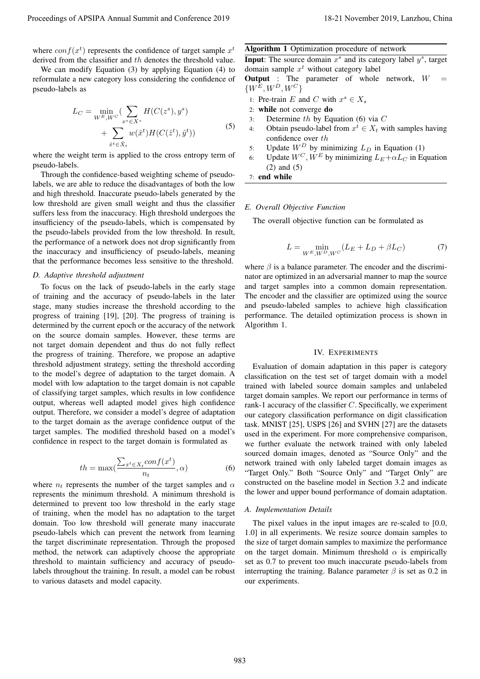where  $conf(x^t)$  represents the confidence of target sample  $x^t$ derived from the classifier and th denotes the threshold value.

We can modify Equation (3) by applying Equation (4) to reformulate a new category loss considering the confidence of pseudo-labels as

$$
L_C = \min_{W^E, W^C} (\sum_{x^s \in X^s} H(C(z^s), y^s)
$$
  
+ 
$$
\sum_{\hat{x}^t \in \hat{X}_t} w(\hat{x}^t) H(C(\hat{z}^t), \hat{y}^t))
$$
 (5)

where the weight term is applied to the cross entropy term of pseudo-labels.

Through the confidence-based weighting scheme of pseudolabels, we are able to reduce the disadvantages of both the low and high threshold. Inaccurate pseudo-labels generated by the low threshold are given small weight and thus the classifier suffers less from the inaccuracy. High threshold undergoes the insufficiency of the pseudo-labels, which is compensated by the pseudo-labels provided from the low threshold. In result, the performance of a network does not drop significantly from the inaccuracy and insufficiency of pseudo-labels, meaning that the performance becomes less sensitive to the threshold.

## *D. Adaptive threshold adjustment*

To focus on the lack of pseudo-labels in the early stage of training and the accuracy of pseudo-labels in the later stage, many studies increase the threshold according to the progress of training [19], [20]. The progress of training is determined by the current epoch or the accuracy of the network on the source domain samples. However, these terms are not target domain dependent and thus do not fully reflect the progress of training. Therefore, we propose an adaptive threshold adjustment strategy, setting the threshold according to the model's degree of adaptation to the target domain. A model with low adaptation to the target domain is not capable of classifying target samples, which results in low confidence output, whereas well adapted model gives high confidence output. Therefore, we consider a model's degree of adaptation to the target domain as the average confidence output of the target samples. The modified threshold based on a model's confidence in respect to the target domain is formulated as Proceedings of APSIPA Annual Summit at Conference 2019<br>
where  $\alpha$  is the conference 2019 in the conference 2019 in the conference 2019 in the conference 2019 in the conference 2019 in the conference 2019 in the conferenc

$$
th = \max(\frac{\sum_{x^t \in X_t} conf(x^t)}{n_t}, \alpha)
$$
 (6)

where  $n_t$  represents the number of the target samples and  $\alpha$ represents the minimum threshold. A minimum threshold is determined to prevent too low threshold in the early stage of training, when the model has no adaptation to the target domain. Too low threshold will generate many inaccurate pseudo-labels which can prevent the network from learning the target discriminate representation. Through the proposed method, the network can adaptively choose the appropriate threshold to maintain sufficiency and accuracy of pseudolabels throughout the training. In result, a model can be robust to various datasets and model capacity.

# Algorithm 1 Optimization procedure of network

**Input:** The source domain  $x^s$  and its category label  $y^s$ , target domain sample  $x<sup>t</sup>$  without category label **Output** : The parameter of whole network,  $W =$ 

 $\{W^E, W^D, W^C\}$ 

- 1: Pre-train E and C with  $x^s \in X_s$
- 2: while not converge do
- 3: Determine  $th$  by Equation (6) via  $C$
- 4: Obtain pseudo-label from  $x^t \in X_t$  with samples having confidence over th
- 5: Update  $W^D$  by minimizing  $L_D$  in Equation (1)
- 6: Update  $W^C$ ,  $\dot{W}^E$  by minimizing  $L_E + \alpha L_C$  in Equation (2) and (5)

7: end while

## *E. Overall Objective Function*

The overall objective function can be formulated as

$$
L = \min_{W^E, W^D, W^C} (L_E + L_D + \beta L_C)
$$
 (7)

where  $\beta$  is a balance parameter. The encoder and the discriminator are optimized in an adversarial manner to map the source and target samples into a common domain representation. The encoder and the classifier are optimized using the source and pseudo-labeled samples to achieve high classification performance. The detailed optimization process is shown in Algorithm 1.

## IV. EXPERIMENTS

Evaluation of domain adaptation in this paper is category classification on the test set of target domain with a model trained with labeled source domain samples and unlabeled target domain samples. We report our performance in terms of rank-1 accuracy of the classifier  $C$ . Specifically, we experiment our category classification performance on digit classification task. MNIST [25], USPS [26] and SVHN [27] are the datasets used in the experiment. For more comprehensive comparison, we further evaluate the network trained with only labeled sourced domain images, denoted as "Source Only" and the network trained with only labeled target domain images as "Target Only." Both "Source Only" and "Target Only" are constructed on the baseline model in Section 3.2 and indicate the lower and upper bound performance of domain adaptation.

#### *A. Implementation Details*

The pixel values in the input images are re-scaled to [0.0, 1.0] in all experiments. We resize source domain samples to the size of target domain samples to maximize the performance on the target domain. Minimum threshold  $\alpha$  is empirically set as 0.7 to prevent too much inaccurate pseudo-labels from interrupting the training. Balance parameter  $\beta$  is set as 0.2 in our experiments.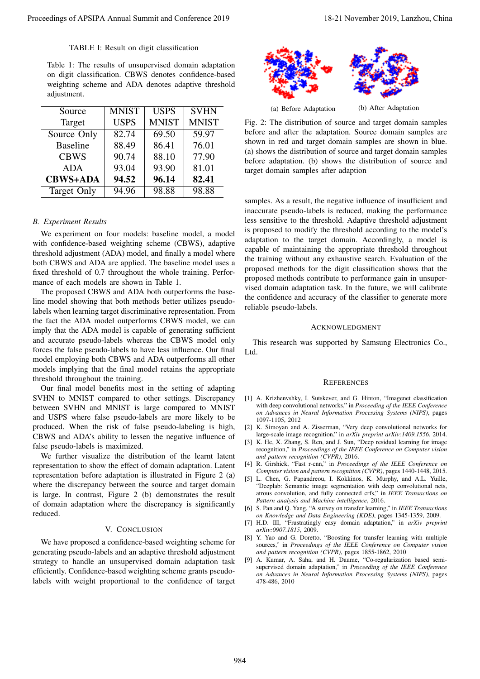## TABLE I: Result on digit classification

Table 1: The results of unsupervised domain adaptation on digit classification. CBWS denotes confidence-based weighting scheme and ADA denotes adaptive threshold adjustment.

| Source             | <b>MNIST</b> | <b>USPS</b>  | <b>SVHN</b>  |
|--------------------|--------------|--------------|--------------|
| Target             | <b>USPS</b>  | <b>MNIST</b> | <b>MNIST</b> |
| Source Only        | 82.74        | 69.50        | 59.97        |
| <b>Baseline</b>    | 88.49        | 86.41        | 76.01        |
| <b>CBWS</b>        | 90.74        | 88.10        | 77.90        |
| <b>ADA</b>         | 93.04        | 93.90        | 81.01        |
| <b>CBWS+ADA</b>    | 94.52        | 96.14        | 82.41        |
| <b>Target Only</b> | 94.96        | 98.88        | 98.88        |

## *B. Experiment Results*

We experiment on four models: baseline model, a model with confidence-based weighting scheme (CBWS), adaptive threshold adjustment (ADA) model, and finally a model where both CBWS and ADA are applied. The baseline model uses a fixed threshold of 0.7 throughout the whole training. Performance of each models are shown in Table 1.

The proposed CBWS and ADA both outperforms the baseline model showing that both methods better utilizes pseudolabels when learning target discriminative representation. From the fact the ADA model outperforms CBWS model, we can imply that the ADA model is capable of generating sufficient and accurate pseudo-labels whereas the CBWS model only forces the false pseudo-labels to have less influence. Our final model employing both CBWS and ADA outperforms all other models implying that the final model retains the appropriate threshold throughout the training.

Our final model benefits most in the setting of adapting SVHN to MNIST compared to other settings. Discrepancy between SVHN and MNIST is large compared to MNIST and USPS where false pseudo-labels are more likely to be produced. When the risk of false pseudo-labeling is high, CBWS and ADA's ability to lessen the negative influence of false pseudo-labels is maximized.

We further visualize the distribution of the learnt latent representation to show the effect of domain adaptation. Latent representation before adaptation is illustrated in Figure 2 (a) where the discrepancy between the source and target domain is large. In contrast, Figure 2 (b) demonstrates the result of domain adaptation where the discrepancy is significantly reduced.

#### V. CONCLUSION

We have proposed a confidence-based weighting scheme for generating pseudo-labels and an adaptive threshold adjustment strategy to handle an unsupervised domain adaptation task efficiently. Confidence-based weighting scheme grants pseudolabels with weight proportional to the confidence of target



(a) Before Adaptation (b) After Adaptation

Fig. 2: The distribution of source and target domain samples before and after the adaptation. Source domain samples are shown in red and target domain samples are shown in blue. (a) shows the distribution of source and target domain samples before adaptation. (b) shows the distribution of source and target domain samples after adaption

samples. As a result, the negative influence of insufficient and inaccurate pseudo-labels is reduced, making the performance less sensitive to the threshold. Adaptive threshold adjustment is proposed to modify the threshold according to the model's adaptation to the target domain. Accordingly, a model is capable of maintaining the appropriate threshold throughout the training without any exhaustive search. Evaluation of the proposed methods for the digit classification shows that the proposed methods contribute to performance gain in unsupervised domain adaptation task. In the future, we will calibrate the confidence and accuracy of the classifier to generate more reliable pseudo-labels. Proceedings of APSIPA Annual Summit and Conference 2019<br>
Table 1. The Lands of Apsilhon Conference 2019<br>
Table 1. The conference 2019 Annual Summit and conference 2019<br>
Summit and Conference 2019 Annual Summit and Confere

#### ACKNOWLEDGMENT

This research was supported by Samsung Electronics Co., Ltd.

#### **REFERENCES**

- [1] A. Krizhenvshky, I. Sutskever, and G. Hinton, "Imagenet classification with deep convolutional networks," in *Proceeding of the IEEE Conference on Advances in Neural Information Processing Systems (NIPS)*, pages 1097-1105, 2012
- [2] K. Simoyan and A. Zisserman, "Very deep convolutional networks for large-scale image recognition," in *arXiv preprint arXiv:1409.1556*, 2014.
- [3] K. He, X. Zhang, S. Ren, and J. Sun, "Deep residual learning for image recognition," in *Proceedings of the IEEE Conference on Computer vision and pattern recognition (CVPR)*, 2016.
- [4] R. Girshick, "Fast r-cnn," in *Proceedings of the IEEE Conference on Computer vision and pattern recognition (CVPR)*, pages 1440-1448, 2015.
- [5] L. Chen, G. Papandreou, I. Kokkinos, K. Murphy, and A.L. Yuille, "Deeplab: Semantic image segmentation with deep convolutional nets, atrous convolution, and fully connected crfs," in *IEEE Transactions on Pattern analysis and Machine intelligence*, 2016.
- [6] S. Pan and Q. Yang, "A survey on transfer learning," in *IEEE Transactions on Knowledge and Data Engineering (KDE)*, pages 1345-1359, 2009.
- [7] H.D. III, "Frustratingly easy domain adaptation," in *arXiv preprint arXiv:0907.1815*, 2009.
- [8] Y. Yao and G. Doretto, "Boosting for transfer learning with multiple sources," in *Proceedings of the IEEE Conference on Computer vision and pattern recognition (CVPR)*, pages 1855-1862, 2010
- [9] A. Kumar, A. Saha, and H. Daume, "Co-regularization based semisupervised domain adaptation," in *Proceeding of the IEEE Conference on Advances in Neural Information Processing Systems (NIPS)*, pages 478-486, 2010